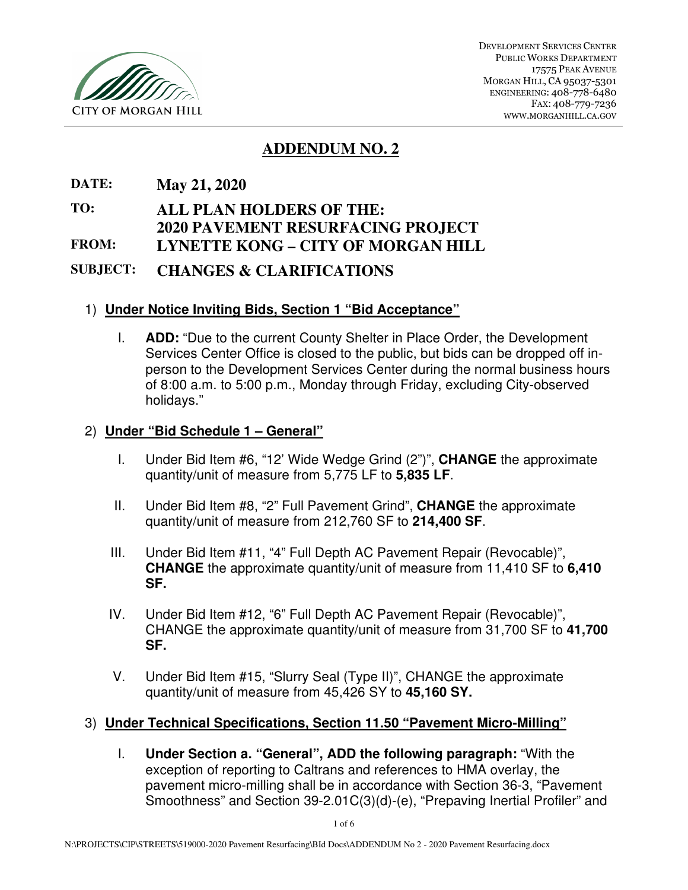

# **ADDENDUM NO. 2**

**DATE: May 21, 2020** 

**TO: ALL PLAN HOLDERS OF THE:** 

**2020 PAVEMENT RESURFACING PROJECT FROM: LYNETTE KONG – CITY OF MORGAN HILL** 

**SUBJECT: CHANGES & CLARIFICATIONS** 

## 1) **Under Notice Inviting Bids, Section 1 "Bid Acceptance"**

I. **ADD:** "Due to the current County Shelter in Place Order, the Development Services Center Office is closed to the public, but bids can be dropped off inperson to the Development Services Center during the normal business hours of 8:00 a.m. to 5:00 p.m., Monday through Friday, excluding City-observed holidays."

### 2) **Under "Bid Schedule 1 – General"**

- I. Under Bid Item #6, "12' Wide Wedge Grind (2")", **CHANGE** the approximate quantity/unit of measure from 5,775 LF to **5,835 LF**.
- II. Under Bid Item #8, "2" Full Pavement Grind", **CHANGE** the approximate quantity/unit of measure from 212,760 SF to **214,400 SF**.
- III. Under Bid Item #11, "4" Full Depth AC Pavement Repair (Revocable)", **CHANGE** the approximate quantity/unit of measure from 11,410 SF to **6,410 SF.**
- IV. Under Bid Item #12, "6" Full Depth AC Pavement Repair (Revocable)", CHANGE the approximate quantity/unit of measure from 31,700 SF to **41,700 SF.**
- V. Under Bid Item #15, "Slurry Seal (Type II)", CHANGE the approximate quantity/unit of measure from 45,426 SY to **45,160 SY.**

### 3) **Under Technical Specifications, Section 11.50 "Pavement Micro-Milling"**

I. **Under Section a. "General", ADD the following paragraph:** "With the exception of reporting to Caltrans and references to HMA overlay, the pavement micro-milling shall be in accordance with Section 36-3, "Pavement Smoothness" and Section 39-2.01C(3)(d)-(e), "Prepaving Inertial Profiler" and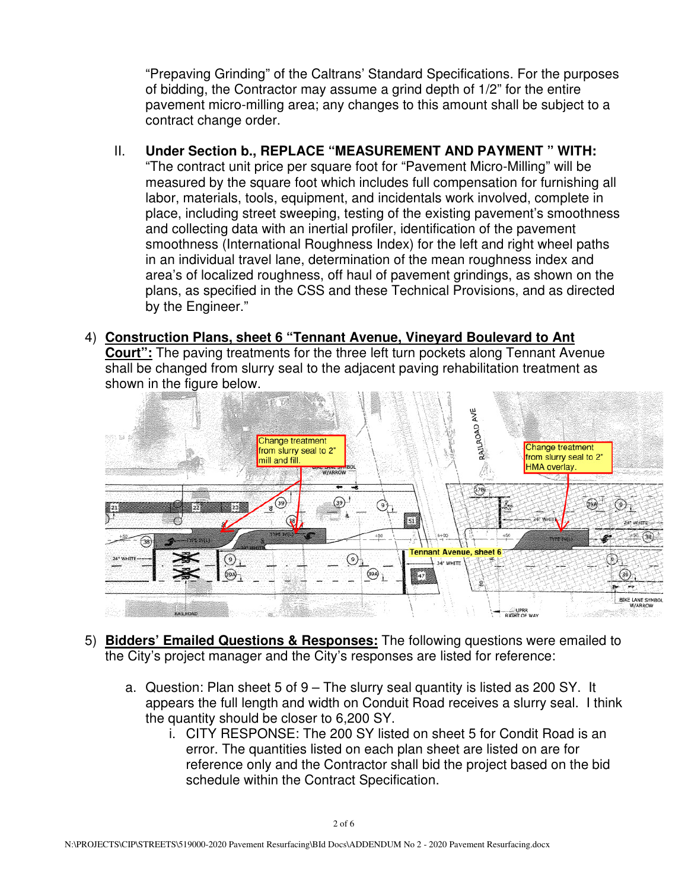"Prepaving Grinding" of the Caltrans' Standard Specifications. For the purposes of bidding, the Contractor may assume a grind depth of 1/2" for the entire pavement micro-milling area; any changes to this amount shall be subject to a contract change order.

- II. **Under Section b., REPLACE "MEASUREMENT AND PAYMENT " WITH:**  "The contract unit price per square foot for "Pavement Micro-Milling" will be measured by the square foot which includes full compensation for furnishing all labor, materials, tools, equipment, and incidentals work involved, complete in place, including street sweeping, testing of the existing pavement's smoothness and collecting data with an inertial profiler, identification of the pavement smoothness (International Roughness Index) for the left and right wheel paths in an individual travel lane, determination of the mean roughness index and area's of localized roughness, off haul of pavement grindings, as shown on the plans, as specified in the CSS and these Technical Provisions, and as directed by the Engineer."
- 4) **Construction Plans, sheet 6 "Tennant Avenue, Vineyard Boulevard to Ant Court":** The paving treatments for the three left turn pockets along Tennant Avenue shall be changed from slurry seal to the adjacent paving rehabilitation treatment as shown in the figure below.



- 5) **Bidders' Emailed Questions & Responses:** The following questions were emailed to the City's project manager and the City's responses are listed for reference:
	- a. Question: Plan sheet 5 of 9 The slurry seal quantity is listed as 200 SY. It appears the full length and width on Conduit Road receives a slurry seal. I think the quantity should be closer to 6,200 SY.
		- i. CITY RESPONSE: The 200 SY listed on sheet 5 for Condit Road is an error. The quantities listed on each plan sheet are listed on are for reference only and the Contractor shall bid the project based on the bid schedule within the Contract Specification.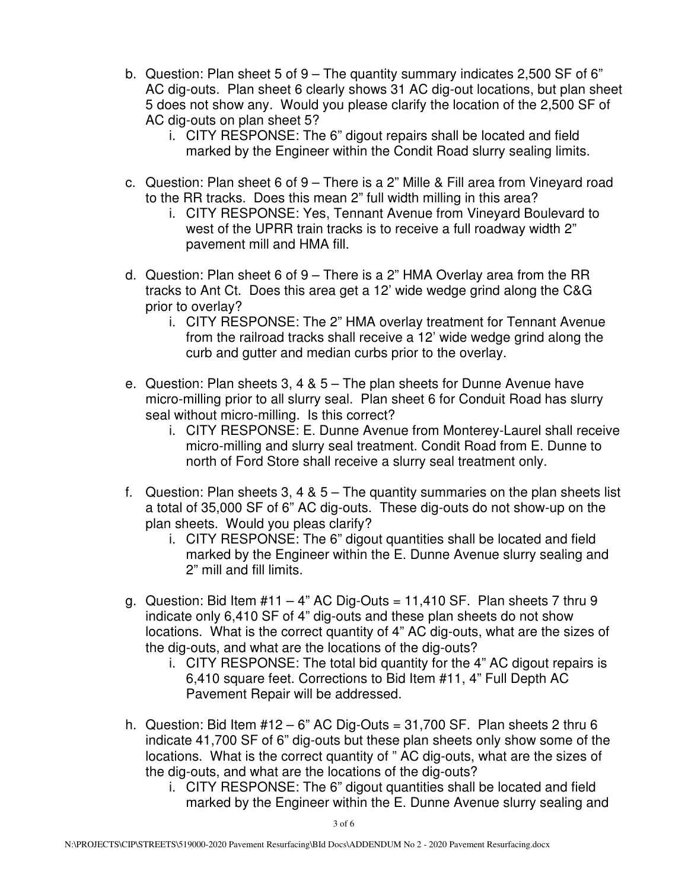- b. Question: Plan sheet 5 of 9 The quantity summary indicates 2,500 SF of 6" AC dig-outs. Plan sheet 6 clearly shows 31 AC dig-out locations, but plan sheet 5 does not show any. Would you please clarify the location of the 2,500 SF of AC dig-outs on plan sheet 5?
	- i. CITY RESPONSE: The 6" digout repairs shall be located and field marked by the Engineer within the Condit Road slurry sealing limits.
- c. Question: Plan sheet 6 of 9 There is a 2" Mille & Fill area from Vineyard road to the RR tracks. Does this mean 2" full width milling in this area?
	- i. CITY RESPONSE: Yes, Tennant Avenue from Vineyard Boulevard to west of the UPRR train tracks is to receive a full roadway width 2" pavement mill and HMA fill.
- d. Question: Plan sheet 6 of 9 There is a 2" HMA Overlay area from the RR tracks to Ant Ct. Does this area get a 12' wide wedge grind along the C&G prior to overlay?
	- i. CITY RESPONSE: The 2" HMA overlay treatment for Tennant Avenue from the railroad tracks shall receive a 12' wide wedge grind along the curb and gutter and median curbs prior to the overlay.
- e. Question: Plan sheets 3, 4 & 5 The plan sheets for Dunne Avenue have micro-milling prior to all slurry seal. Plan sheet 6 for Conduit Road has slurry seal without micro-milling. Is this correct?
	- i. CITY RESPONSE: E. Dunne Avenue from Monterey-Laurel shall receive micro-milling and slurry seal treatment. Condit Road from E. Dunne to north of Ford Store shall receive a slurry seal treatment only.
- f. Question: Plan sheets 3, 4 & 5 The quantity summaries on the plan sheets list a total of 35,000 SF of 6" AC dig-outs. These dig-outs do not show-up on the plan sheets. Would you pleas clarify?
	- i. CITY RESPONSE: The 6" digout quantities shall be located and field marked by the Engineer within the E. Dunne Avenue slurry sealing and 2" mill and fill limits.
- g. Question: Bid Item  $#11 4"$  AC Dig-Outs = 11,410 SF. Plan sheets 7 thru 9 indicate only 6,410 SF of 4" dig-outs and these plan sheets do not show locations. What is the correct quantity of 4" AC dig-outs, what are the sizes of the dig-outs, and what are the locations of the dig-outs?
	- i. CITY RESPONSE: The total bid quantity for the 4" AC digout repairs is 6,410 square feet. Corrections to Bid Item #11, 4" Full Depth AC Pavement Repair will be addressed.
- h. Question: Bid Item  $#12 6"$  AC Dig-Outs = 31,700 SF. Plan sheets 2 thru 6 indicate 41,700 SF of 6" dig-outs but these plan sheets only show some of the locations. What is the correct quantity of " AC dig-outs, what are the sizes of the dig-outs, and what are the locations of the dig-outs?
	- i. CITY RESPONSE: The 6" digout quantities shall be located and field marked by the Engineer within the E. Dunne Avenue slurry sealing and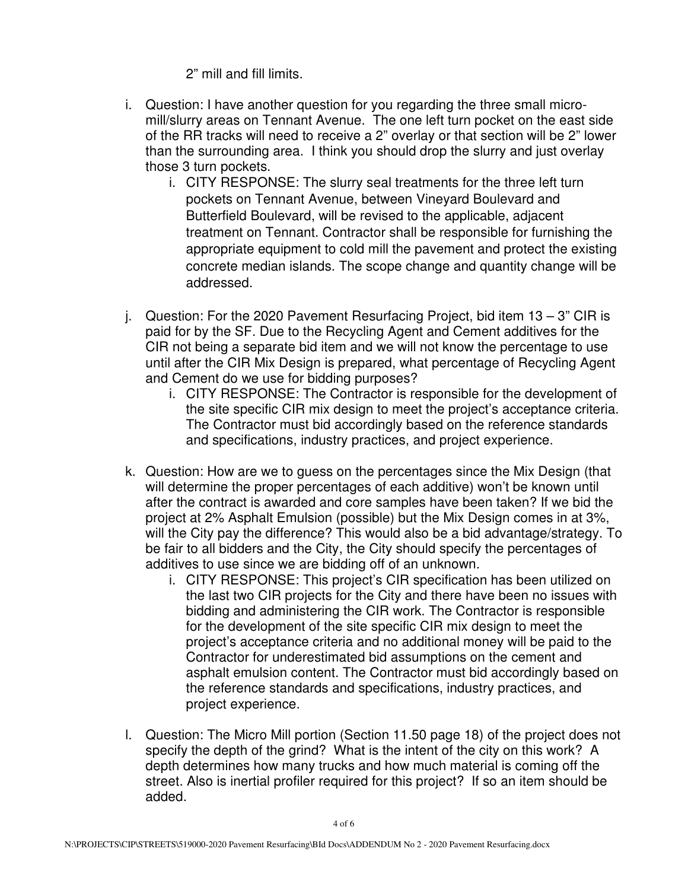2" mill and fill limits.

- i. Question: I have another question for you regarding the three small micromill/slurry areas on Tennant Avenue. The one left turn pocket on the east side of the RR tracks will need to receive a 2" overlay or that section will be 2" lower than the surrounding area. I think you should drop the slurry and just overlay those 3 turn pockets.
	- i. CITY RESPONSE: The slurry seal treatments for the three left turn pockets on Tennant Avenue, between Vineyard Boulevard and Butterfield Boulevard, will be revised to the applicable, adjacent treatment on Tennant. Contractor shall be responsible for furnishing the appropriate equipment to cold mill the pavement and protect the existing concrete median islands. The scope change and quantity change will be addressed.
- j. Question: For the 2020 Pavement Resurfacing Project, bid item 13 3" CIR is paid for by the SF. Due to the Recycling Agent and Cement additives for the CIR not being a separate bid item and we will not know the percentage to use until after the CIR Mix Design is prepared, what percentage of Recycling Agent and Cement do we use for bidding purposes?
	- i. CITY RESPONSE: The Contractor is responsible for the development of the site specific CIR mix design to meet the project's acceptance criteria. The Contractor must bid accordingly based on the reference standards and specifications, industry practices, and project experience.
- k. Question: How are we to guess on the percentages since the Mix Design (that will determine the proper percentages of each additive) won't be known until after the contract is awarded and core samples have been taken? If we bid the project at 2% Asphalt Emulsion (possible) but the Mix Design comes in at 3%, will the City pay the difference? This would also be a bid advantage/strategy. To be fair to all bidders and the City, the City should specify the percentages of additives to use since we are bidding off of an unknown.
	- i. CITY RESPONSE: This project's CIR specification has been utilized on the last two CIR projects for the City and there have been no issues with bidding and administering the CIR work. The Contractor is responsible for the development of the site specific CIR mix design to meet the project's acceptance criteria and no additional money will be paid to the Contractor for underestimated bid assumptions on the cement and asphalt emulsion content. The Contractor must bid accordingly based on the reference standards and specifications, industry practices, and project experience.
- l. Question: The Micro Mill portion (Section 11.50 page 18) of the project does not specify the depth of the grind? What is the intent of the city on this work? A depth determines how many trucks and how much material is coming off the street. Also is inertial profiler required for this project? If so an item should be added.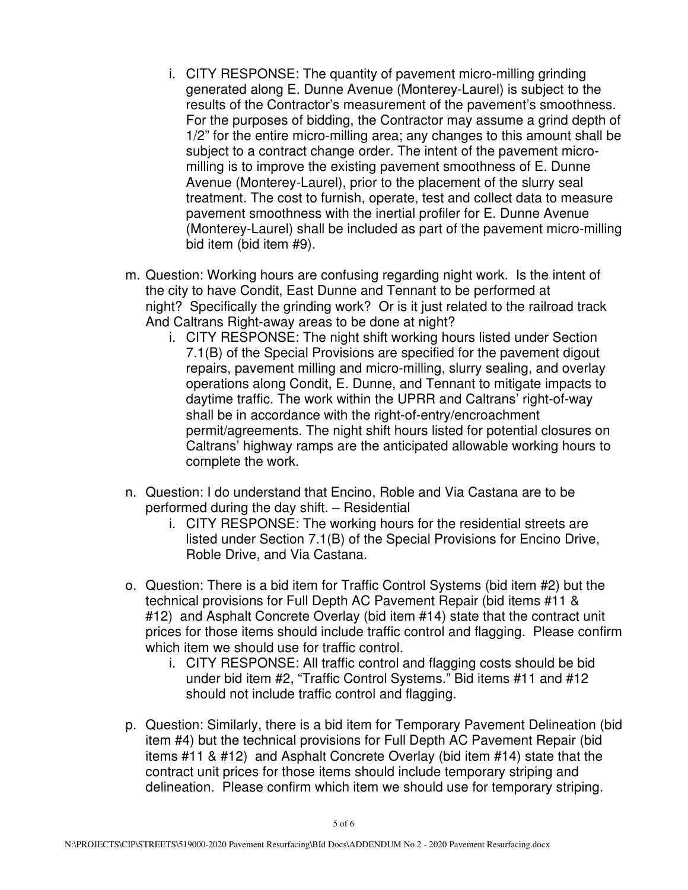- i. CITY RESPONSE: The quantity of pavement micro-milling grinding generated along E. Dunne Avenue (Monterey-Laurel) is subject to the results of the Contractor's measurement of the pavement's smoothness. For the purposes of bidding, the Contractor may assume a grind depth of 1/2" for the entire micro-milling area; any changes to this amount shall be subject to a contract change order. The intent of the pavement micromilling is to improve the existing pavement smoothness of E. Dunne Avenue (Monterey-Laurel), prior to the placement of the slurry seal treatment. The cost to furnish, operate, test and collect data to measure pavement smoothness with the inertial profiler for E. Dunne Avenue (Monterey-Laurel) shall be included as part of the pavement micro-milling bid item (bid item #9).
- m. Question: Working hours are confusing regarding night work. Is the intent of the city to have Condit, East Dunne and Tennant to be performed at night? Specifically the grinding work? Or is it just related to the railroad track And Caltrans Right-away areas to be done at night?
	- i. CITY RESPONSE: The night shift working hours listed under Section 7.1(B) of the Special Provisions are specified for the pavement digout repairs, pavement milling and micro-milling, slurry sealing, and overlay operations along Condit, E. Dunne, and Tennant to mitigate impacts to daytime traffic. The work within the UPRR and Caltrans' right-of-way shall be in accordance with the right-of-entry/encroachment permit/agreements. The night shift hours listed for potential closures on Caltrans' highway ramps are the anticipated allowable working hours to complete the work.
- n. Question: I do understand that Encino, Roble and Via Castana are to be performed during the day shift. – Residential
	- i. CITY RESPONSE: The working hours for the residential streets are listed under Section 7.1(B) of the Special Provisions for Encino Drive, Roble Drive, and Via Castana.
- o. Question: There is a bid item for Traffic Control Systems (bid item #2) but the technical provisions for Full Depth AC Pavement Repair (bid items #11 & #12) and Asphalt Concrete Overlay (bid item #14) state that the contract unit prices for those items should include traffic control and flagging. Please confirm which item we should use for traffic control.
	- i. CITY RESPONSE: All traffic control and flagging costs should be bid under bid item #2, "Traffic Control Systems." Bid items #11 and #12 should not include traffic control and flagging.
- p. Question: Similarly, there is a bid item for Temporary Pavement Delineation (bid item #4) but the technical provisions for Full Depth AC Pavement Repair (bid items #11 & #12) and Asphalt Concrete Overlay (bid item #14) state that the contract unit prices for those items should include temporary striping and delineation. Please confirm which item we should use for temporary striping.